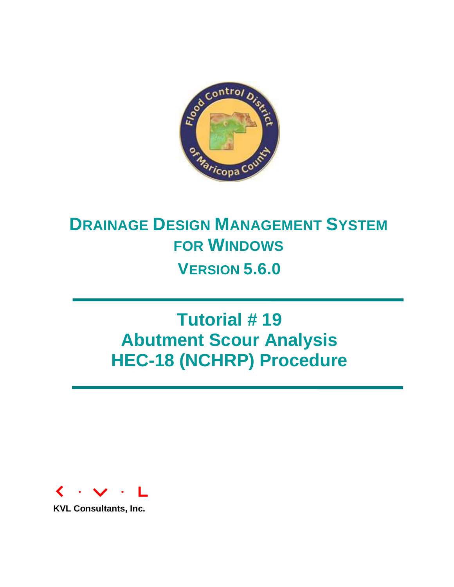

# **DRAINAGE DESIGN MANAGEMENT SYSTEM FOR WINDOWS VERSION 5.6.0**

# **Tutorial # 19 Abutment Scour Analysis HEC-18 (NCHRP) Procedure**



**KVL Consultants, Inc.**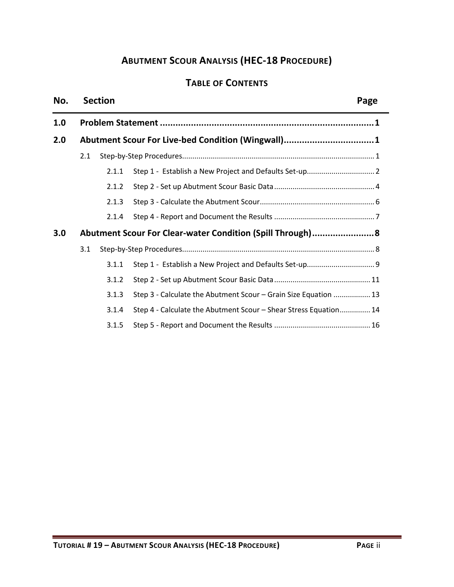# **ABUTMENT SCOUR ANALYSIS (HEC-18 PROCEDURE)**

# **TABLE OF CONTENTS**

#### **No. Section Page**

| 1.0 |                                                   |       |                                                                  |  |  |  |  |
|-----|---------------------------------------------------|-------|------------------------------------------------------------------|--|--|--|--|
| 2.0 | Abutment Scour For Live-bed Condition (Wingwall)1 |       |                                                                  |  |  |  |  |
|     | 2.1                                               |       |                                                                  |  |  |  |  |
|     |                                                   | 2.1.1 |                                                                  |  |  |  |  |
|     |                                                   | 2.1.2 |                                                                  |  |  |  |  |
|     |                                                   | 2.1.3 |                                                                  |  |  |  |  |
|     |                                                   | 2.1.4 |                                                                  |  |  |  |  |
| 3.0 |                                                   |       | Abutment Scour For Clear-water Condition (Spill Through) 8       |  |  |  |  |
|     | 3.1                                               |       |                                                                  |  |  |  |  |
|     |                                                   | 3.1.1 |                                                                  |  |  |  |  |
|     |                                                   | 3.1.2 |                                                                  |  |  |  |  |
|     |                                                   | 3.1.3 | Step 3 - Calculate the Abutment Scour - Grain Size Equation  13  |  |  |  |  |
|     |                                                   | 3.1.4 | Step 4 - Calculate the Abutment Scour - Shear Stress Equation 14 |  |  |  |  |
|     |                                                   | 3.1.5 |                                                                  |  |  |  |  |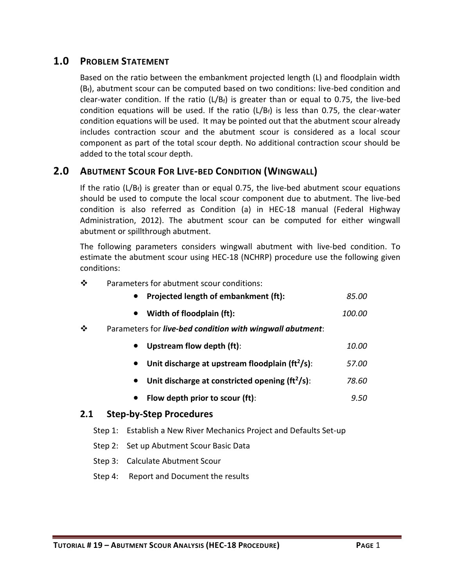# <span id="page-2-0"></span>**1.0 PROBLEM STATEMENT**

Based on the ratio between the embankment projected length (L) and floodplain width  $(B_f)$ , abutment scour can be computed based on two conditions: live-bed condition and clear-water condition. If the ratio  $(L/B_f)$  is greater than or equal to 0.75, the live-bed condition equations will be used. If the ratio  $(L/B_f)$  is less than 0.75, the clear-water condition equations will be used. It may be pointed out that the abutment scour already includes contraction scour and the abutment scour is considered as a local scour component as part of the total scour depth. No additional contraction scour should be added to the total scour depth.

# <span id="page-2-1"></span>**2.0 ABUTMENT SCOUR FOR LIVE-BED CONDITION (WINGWALL)**

If the ratio  $(L/B_f)$  is greater than or equal 0.75, the live-bed abutment scour equations should be used to compute the local scour component due to abutment. The live-bed condition is also referred as Condition (a) in HEC-18 manual (Federal Highway Administration, 2012). The abutment scour can be computed for either wingwall abutment or spillthrough abutment.

The following parameters considers wingwall abutment with live-bed condition. To estimate the abutment scour using HEC-18 (NCHRP) procedure use the following given conditions:

| ❖ | Parameters for abutment scour conditions: |  |
|---|-------------------------------------------|--|
|---|-------------------------------------------|--|

|  | <b>Projected length of embankment (ft):</b> | 85.00 |
|--|---------------------------------------------|-------|
|--|---------------------------------------------|-------|

- **Width of floodplain (ft):** *100.00*
- Parameters for *live-bed condition with wingwall abutment*:
	- **Upstream flow depth (ft)**: *10.00*
	- **Unit discharge at upstream floodplain (ft<sup>2</sup> /s)**: *57.00*
	- **Unit discharge at constricted opening (ft<sup>2</sup> /s)**: *78.60*
	- **Flow depth prior to scour (ft)**: *9.50*

#### <span id="page-2-2"></span>**2.1 Step-by-Step Procedures**

- Step 1: Establish a New River Mechanics Project and Defaults Set-up
- Step 2: Set up Abutment Scour Basic Data
- Step 3: Calculate Abutment Scour
- Step 4: Report and Document the results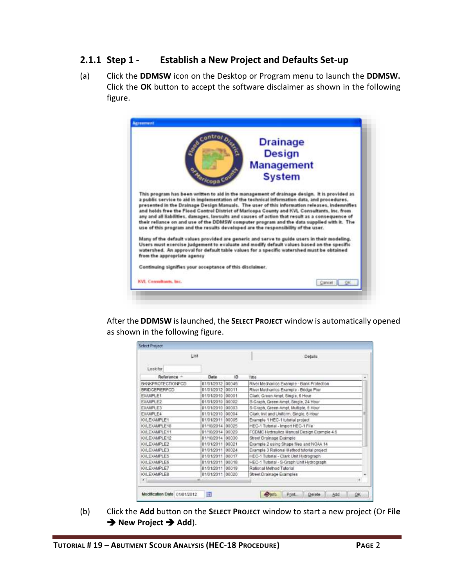# <span id="page-3-0"></span>**2.1.1 Step 1 - Establish a New Project and Defaults Set-up**

(a) Click the **DDMSW** icon on the Desktop or Program menu to launch the **DDMSW.** Click the **OK** button to accept the software disclaimer as shown in the following figure.

| BRI                                                                                     | contror <sub>o</sub><br><b>Drainage</b>                                                                                                                                                                                                                                                                                                                                                                                                                                                                                                                                                      |
|-----------------------------------------------------------------------------------------|----------------------------------------------------------------------------------------------------------------------------------------------------------------------------------------------------------------------------------------------------------------------------------------------------------------------------------------------------------------------------------------------------------------------------------------------------------------------------------------------------------------------------------------------------------------------------------------------|
|                                                                                         | <b>Design</b>                                                                                                                                                                                                                                                                                                                                                                                                                                                                                                                                                                                |
|                                                                                         | <b>Management</b>                                                                                                                                                                                                                                                                                                                                                                                                                                                                                                                                                                            |
| oza <sub>nicopa</sub> c                                                                 | <b>System</b>                                                                                                                                                                                                                                                                                                                                                                                                                                                                                                                                                                                |
|                                                                                         | This program has been written to aid in the management of drainage design. It is provided as<br>a public service to aid in implementation of the technical information data, and procedures.<br>presented in the Drainage Design Manuals. The user of this information releases, indemnifies<br>and holds free the Flood Control District of Maricopa County and KVL Consultants, Inc. from<br>any and all liabilities, damages, lawsuits and causes of action that result as a consequence of<br>their reliance on and use of the DDMSW computer program and the data supplied with it. The |
|                                                                                         | use of this program and the results developed are the responsibility of the user.                                                                                                                                                                                                                                                                                                                                                                                                                                                                                                            |
|                                                                                         | Many of the default values provided are generic and serve to guide users in their modeling.<br>Users must exercise judgement to evaluate and modify default values based on the specific<br>watershed. An approval for default table values for a specific watershed must be obtained                                                                                                                                                                                                                                                                                                        |
| from the appropriate agency<br>Continuing signifies your acceptance of this disclaimer. |                                                                                                                                                                                                                                                                                                                                                                                                                                                                                                                                                                                              |

After the **DDMSW** is launched, the **SELECT PROJECT** window is automatically opened as shown in the following figure.

|                          | List             |       | Details                                    |
|--------------------------|------------------|-------|--------------------------------------------|
| Lookfor                  |                  |       |                                            |
| Reference: -             | Date             | 10    | Title                                      |
| <b>BANKPROTECTIONFCD</b> | 01/01/2012 00049 |       | River Mechanics Example - Bank Protection  |
| <b>BRIDGEPIERFCD</b>     | 01/01/2012 00011 |       | River Mechanics Example - Bridge Pier      |
| EXAMPLE1                 | 01/01/2010       | 00001 | Clark, Green Ampt, Single, 5 Hour          |
| EXAMPLE2                 | 01/01/2010 00002 |       | S-Graph, Green-Ampt. Single, 24 Hour       |
| <b>EXAMPLE3</b>          | 01/01/2010 00003 |       | S-Graph, Green-Ampt, Multiple, 6 Hour      |
| EXAMPLE4                 | 01/01/2010       | 00004 | Clark, Init and Uniform, Single, 6 Hour    |
| KVLEXAMPLE1              | 01/01/2011 00005 |       | Example 1 HEC-1 tutorial project           |
| KVLEXAMPLE10             | 01/10/2014 00025 |       | HEC-1 Tutorial - Import HEC-1 File         |
| KVLEXAMPLE11             | 01/10/2014 00029 |       | FCDMC Hydraulics Manual Design Example 4.6 |
| KVLEXAMPLE12             | 01/10/2014 00030 |       | Street Drainage Example                    |
| KVI EXAMPLE2             | 01/01/2011 00021 |       | Example 2 using Shape files and NOAA 14    |
| KVLEXAMPLE3              | 01/01/2011 00024 |       | Example 3 Rational Method tutorial project |
| KVLEXAMPLE5              | 01/01/2011 00017 |       | HEC-1 Tutorial - Clark Unit Hydrograph     |
| <b>KVLEXAMPLE6</b>       | 01/01/2011 00018 |       | HEC-1 Tutorial - S-Graph Unit Hydrograph   |
| KVLEXAMPLE7              | 01/01/2011 00019 |       | Rational Method Tutorial                   |
| KVLEXAMPLER              | 01/01/2011 00020 |       | Street Drainage Examples                   |
| x.                       | art.             |       | <b>SATISFIER CHARGE IT DOWN.</b><br>٠      |

(b) Click the **Add** button on the **SELECT PROJECT** window to start a new project (Or **File → New Project → Add**).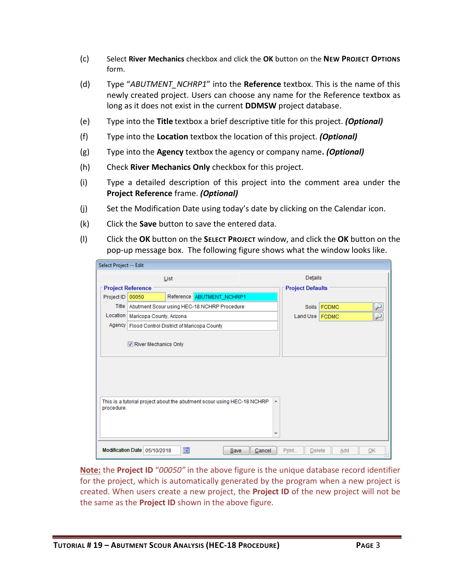- (c) Select **River Mechanics** checkbox and click the **OK** button on the **NEW PROJECT OPTIONS**  form.
- (d) Type "*ABUTMENT\_NCHRP1*" into the **Reference** textbox. This is the name of this newly created project. Users can choose any name for the Reference textbox as long as it does not exist in the current **DDMSW** project database.
- (e) Type into the **Title** textbox a brief descriptive title for this project. *(Optional)*
- (f) Type into the **Location** textbox the location of this project. *(Optional)*
- (g) Type into the **Agency** textbox the agency or company name**.** *(Optional)*
- (h) Check **River Mechanics Only** checkbox for this project.
- (i) Type a detailed description of this project into the comment area under the **Project Reference** frame. *(Optional)*
- (j) Set the Modification Date using today's date by clicking on the Calendar icon.
- (k) Click the **Save** button to save the entered data.
- (l) Click the **OK** button on the **SELECT PROJECT** window, and click the **OK** button on the pop-up message box. The following figure shows what the window looks like.

| Select Project -- Edit |                                                                                     |                                                                        |   |                         |             |  |  |
|------------------------|-------------------------------------------------------------------------------------|------------------------------------------------------------------------|---|-------------------------|-------------|--|--|
|                        |                                                                                     | List                                                                   |   | Details                 |             |  |  |
|                        | <b>Project Reference</b>                                                            |                                                                        |   | <b>Project Defaults</b> |             |  |  |
| Project ID             | 00050                                                                               | Reference ABUTMENT_NCHRP1                                              |   |                         |             |  |  |
|                        |                                                                                     | Title   Abutment Scour using HEC-18 NCHRP Procedure                    |   |                         | Soils FCDMC |  |  |
|                        | Location   Maricopa County, Arizona                                                 |                                                                        |   | Land Use   FCDMC        |             |  |  |
|                        |                                                                                     | Agency   Flood Control District of Maricopa County                     |   |                         |             |  |  |
|                        | River Mechanics Only                                                                |                                                                        |   |                         |             |  |  |
| procedure.             |                                                                                     | This is a tutorial project about the abutment scour using HEC-18 NCHRP | ▲ |                         |             |  |  |
|                        | 圖<br>Modification Date 05/10/2018<br>Save<br>Cancel<br>Print<br>Delete<br>OK<br>Add |                                                                        |   |                         |             |  |  |

**Note:** the **Project ID** "*00050"* in the above figure is the unique database record identifier for the project, which is automatically generated by the program when a new project is created. When users create a new project, the **Project ID** of the new project will not be the same as the **Project ID** shown in the above figure.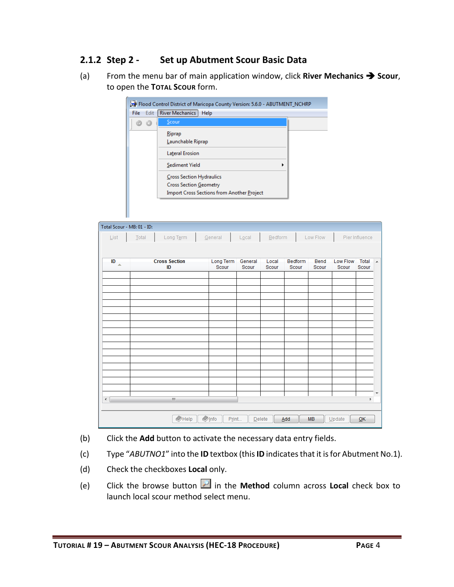# <span id="page-5-0"></span>**2.1.2 Step 2 - Set up Abutment Scour Basic Data**

(a) From the menu bar of main application window, click **River Mechanics Scour**, to open the **TOTAL SCOUR** form.

|       | Flood Control District of Maricopa County Version: 5.6.0 - ABUTMENT_NCHRP |  |
|-------|---------------------------------------------------------------------------|--|
| File: | Edit   River Mechanics<br>Help                                            |  |
|       | Scour                                                                     |  |
|       | Riprap                                                                    |  |
|       | Launchable Riprap                                                         |  |
|       | <b>Lateral Erosion</b>                                                    |  |
|       | Sediment Yield<br>٠                                                       |  |
|       | Cross Section Hydraulics                                                  |  |
|       | <b>Cross Section Geometry</b>                                             |  |
|       | <b>Import Cross Sections from Another Project</b>                         |  |

| Total Scour - MB: 01 - ID:  |                      |                         |         |         |                |           |          |                |                |
|-----------------------------|----------------------|-------------------------|---------|---------|----------------|-----------|----------|----------------|----------------|
| $\underline{\mathsf{List}}$ | Total<br>Long Term   | General                 | Local   | Bedform |                | Low Flow  |          | Pier Influence |                |
|                             |                      |                         |         |         |                |           |          |                |                |
| ID                          | <b>Cross Section</b> | Long Term               | General | Local   | <b>Bedform</b> | Bend      | Low Flow | Total          | $\overline{a}$ |
| $\triangle$                 | ID                   | Scour                   | Scour   | Scour   | Scour          | Scour     | Scour    | Scour          |                |
|                             |                      |                         |         |         |                |           |          |                |                |
|                             |                      |                         |         |         |                |           |          |                |                |
|                             |                      |                         |         |         |                |           |          |                |                |
|                             |                      |                         |         |         |                |           |          |                |                |
|                             |                      |                         |         |         |                |           |          |                |                |
|                             |                      |                         |         |         |                |           |          |                |                |
|                             |                      |                         |         |         |                |           |          |                |                |
|                             |                      |                         |         |         |                |           |          |                |                |
|                             |                      |                         |         |         |                |           |          |                |                |
|                             |                      |                         |         |         |                |           |          |                |                |
|                             |                      |                         |         |         |                |           |          |                |                |
|                             |                      |                         |         |         |                |           |          |                |                |
|                             |                      |                         |         |         |                |           |          |                |                |
| ∢                           | $\mathbb{H}$         |                         |         |         |                |           |          | k              |                |
|                             |                      |                         |         |         |                |           |          |                |                |
|                             | $\bigcirc$ Help      | $\bullet$ Info<br>Print | Delete  |         | Add            | <b>MB</b> | Update   | QK             |                |

- (b) Click the **Add** button to activate the necessary data entry fields.
- (c) Type "*ABUTNO1*" into the **ID** textbox (this **ID** indicates that it is for Abutment No.1).
- (d) Check the checkboxes **Local** only.
- (e) Click the browse button in the **Method** column across **Local** check box to launch local scour method select menu.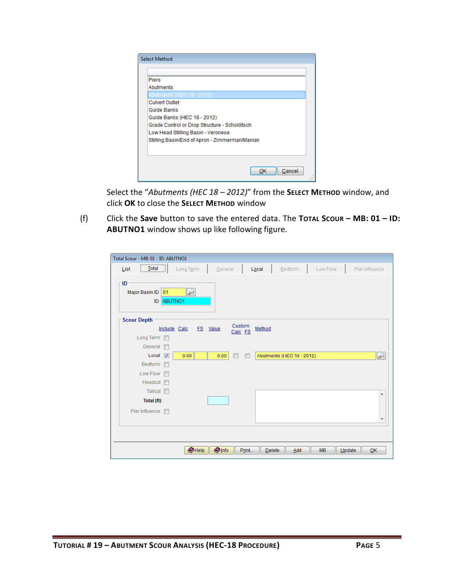| <b>Select Method</b>                           |
|------------------------------------------------|
|                                                |
| <b>Piers</b>                                   |
| Abutments                                      |
| Abutments (HEC 18 - 2012)                      |
| <b>Culvert Outlet</b>                          |
| Guide Banks                                    |
| Guide Banks (HEC 18 - 2012)                    |
| Grade Control or Drop Structure - Schoklitsch  |
| Low Head Stilling Basin - Veronese             |
| Stilling Basin/End of Apron - Zimmerman/Maniak |
|                                                |
|                                                |
|                                                |
| Cancel<br>ок                                   |
|                                                |

Select the "*Abutments (HEC 18 – 2012)*" from the **SELECT METHOD** window, and click **OK** to close the **SELECT METHOD** window

(f) Click the **Save** button to save the entered data. The **TOTAL SCOUR – MB: 01 – ID: ABUTNO1** window shows up like following figure.

| Total Scour - MB: 01 - ID: ABUTNO1                 |                                 |                   |                           |                     |                          |
|----------------------------------------------------|---------------------------------|-------------------|---------------------------|---------------------|--------------------------|
| $\sqrt{\frac{1}{2}^{\frac{1}{2}}}$<br>List         | Long Term                       | General<br>Local  | Bedform                   | Low Flow            | Pier Influence           |
| <b>ID</b><br>Major Basin ID<br>01<br>ABUTNO1<br>ID |                                 |                   |                           |                     |                          |
| <b>Scour Depth</b>                                 |                                 |                   |                           |                     |                          |
| Include Calc                                       | FS Value                        | Custom<br>Calc FS | Method                    |                     |                          |
| Long Term                                          |                                 |                   |                           |                     |                          |
| General<br>$\blacksquare$                          |                                 |                   |                           |                     |                          |
| Local<br>$\overline{\mathbf{v}}$                   | 0.00                            | 0.00              | Abutments (HEC 18 - 2012) |                     | $\overline{\phantom{0}}$ |
| Bedform<br>$\blacksquare$                          |                                 |                   |                           |                     |                          |
| Low Flow<br>$\blacksquare$                         |                                 |                   |                           |                     |                          |
| Headcut <b>n</b>                                   |                                 |                   |                           |                     |                          |
| Tailcut <b>I</b>                                   |                                 |                   |                           |                     | ┻                        |
| Total (ft)                                         |                                 |                   |                           |                     |                          |
| Pier Influence<br>$\blacksquare$                   |                                 |                   |                           |                     |                          |
|                                                    |                                 |                   |                           |                     | $\overline{\phantom{a}}$ |
|                                                    |                                 |                   |                           |                     |                          |
|                                                    |                                 |                   |                           |                     |                          |
|                                                    | <b>O</b> Info<br>$\bullet$ Help | Print             | Delete<br>Add             | <b>MB</b><br>Update | QK                       |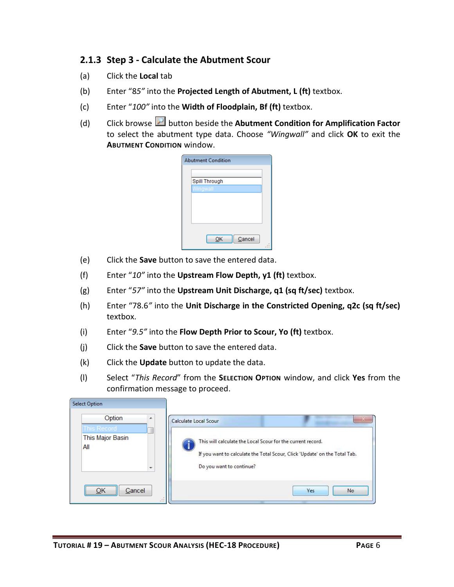# <span id="page-7-0"></span>**2.1.3 Step 3 - Calculate the Abutment Scour**

- (a) Click the **Local** tab
- (b) Enter "8*5"* into the **Projected Length of Abutment, L (ft)** textbox.
- (c) Enter "*100"* into the **Width of Floodplain, Bf (ft)** textbox.
- (d) Click browse button beside the **Abutment Condition for Amplification Factor** to select the abutment type data. Choose *"Wingwall"* and click **OK** to exit the **ABUTMENT CONDITION** window.

| <b>Abutment Condition</b> |  |
|---------------------------|--|
|                           |  |
| Spill Through             |  |
| Wingwall                  |  |
|                           |  |
|                           |  |
|                           |  |
|                           |  |
|                           |  |
| Cancel<br>ок              |  |
|                           |  |

- (e) Click the **Save** button to save the entered data.
- (f) Enter "*10"* into the **Upstream Flow Depth, y1 (ft)** textbox.
- (g) Enter "*57"* into the **Upstream Unit Discharge, q1 (sq ft/sec)** textbox.
- (h) Enter "78.6*"* into the **Unit Discharge in the Constricted Opening, q2c (sq ft/sec)** textbox.
- (i) Enter "*9.5"* into the **Flow Depth Prior to Scour, Yo (ft)** textbox.
- (j) Click the **Save** button to save the entered data.
- (k) Click the **Update** button to update the data.
- (l) Select "*This Record*" from the **SELECTION OPTION** window, and click **Yes** from the confirmation message to proceed.

| <b>Select Option</b>                                                               |                                                                                                                                                                                                |
|------------------------------------------------------------------------------------|------------------------------------------------------------------------------------------------------------------------------------------------------------------------------------------------|
| Option<br>×.<br>This Record<br>This Major Basin<br>All<br>$\overline{\phantom{a}}$ | Calculate Local Scour<br>This will calculate the Local Scour for the current record.<br>If you want to calculate the Total Scour, Click 'Update' on the Total Tab.<br>Do you want to continue? |
| <br>Cancel<br>48                                                                   | No.<br><b>Yes</b>                                                                                                                                                                              |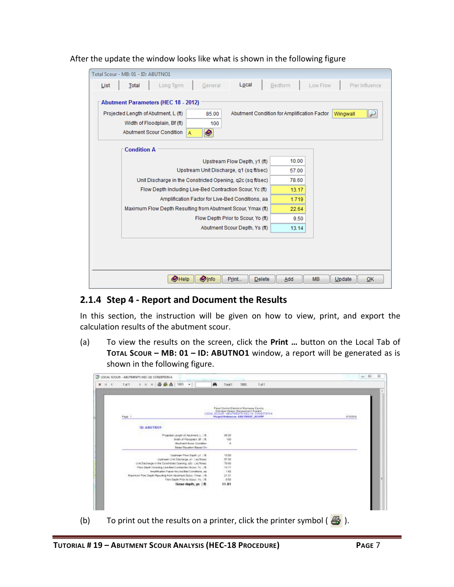| List | Total                                                      | Long Term                                                   | General | Local                                            | Bedform                                     | Low Flow | Pier Influence  |
|------|------------------------------------------------------------|-------------------------------------------------------------|---------|--------------------------------------------------|---------------------------------------------|----------|-----------------|
|      |                                                            |                                                             |         |                                                  |                                             |          |                 |
|      |                                                            | <b>Abutment Parameters (HEC 18 - 2012)</b>                  |         |                                                  |                                             |          |                 |
|      |                                                            | Projected Length of Abutment, L (ft)                        | 85.00   |                                                  | Abutment Condition for Amplification Factor |          | لتو<br>Wingwall |
|      |                                                            | Width of Floodplain, Bf (ft)                                | 100     |                                                  |                                             |          |                 |
|      |                                                            | Abutment Scour Condition<br>A                               | Ø       |                                                  |                                             |          |                 |
|      |                                                            |                                                             |         |                                                  |                                             |          |                 |
|      | <b>Condition A</b>                                         |                                                             |         |                                                  |                                             |          |                 |
|      |                                                            |                                                             |         | Upstream Flow Depth, y1 (ft)                     | 10.00                                       |          |                 |
|      | Upstream Unit Discharge, q1 (sq ft/sec)                    |                                                             |         |                                                  | 57.00                                       |          |                 |
|      | Unit Discharge in the Constricted Opening, g2c (sg ft/sec) |                                                             |         |                                                  | 78.60                                       |          |                 |
|      |                                                            | Flow Depth Including Live-Bed Contraction Scour, Yc (ft)    |         |                                                  | 13.17                                       |          |                 |
|      |                                                            |                                                             |         | Amplification Factor for Live-Bed Conditions, aa | 1.719                                       |          |                 |
|      |                                                            | Maximum Flow Depth Resulting from Abutment Scour, Ymax (ft) |         |                                                  | 22.64                                       |          |                 |
|      |                                                            |                                                             |         | Flow Depth Prior to Scour, Yo (ft)               | 9.50                                        |          |                 |
|      |                                                            |                                                             |         | Abutment Scour Depth, Ys (ft)                    | 13.14                                       |          |                 |
|      |                                                            |                                                             |         |                                                  |                                             |          |                 |
|      |                                                            |                                                             |         |                                                  |                                             |          |                 |
|      |                                                            |                                                             |         |                                                  |                                             |          |                 |
|      |                                                            |                                                             |         |                                                  |                                             |          |                 |

#### After the update the window looks like what is shown in the following figure

#### <span id="page-8-0"></span>**2.1.4 Step 4 - Report and Document the Results**

In this section, the instruction will be given on how to view, print, and export the calculation results of the abutment scour.

(a) To view the results on the screen, click the **Print …** button on the Local Tab of **TOTAL SCOUR – MB: 01 – ID: ABUTNO1** window, a report will be generated as is shown in the following figure.

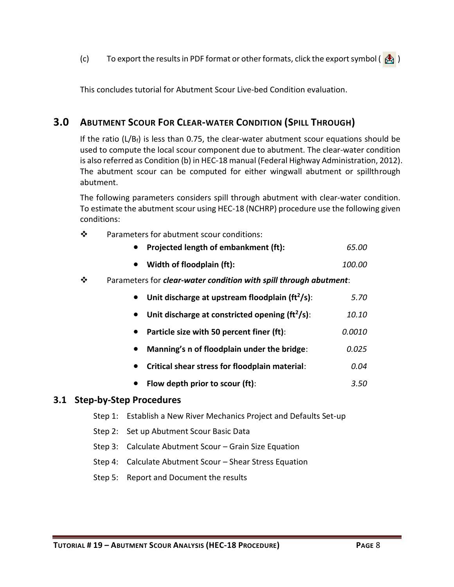(c) To export the results in PDF format or other formats, click the export symbol ( $\frac{1}{2}$ )

This concludes tutorial for Abutment Scour Live-bed Condition evaluation.

# <span id="page-9-0"></span>**3.0 ABUTMENT SCOUR FOR CLEAR-WATER CONDITION (SPILL THROUGH)**

If the ratio  $(L/B_f)$  is less than 0.75, the clear-water abutment scour equations should be used to compute the local scour component due to abutment. The clear-water condition is also referred as Condition (b) in HEC-18 manual (Federal Highway Administration, 2012). The abutment scour can be computed for either wingwall abutment or spillthrough abutment.

The following parameters considers spill through abutment with clear-water condition. To estimate the abutment scour using HEC-18 (NCHRP) procedure use the following given conditions:

❖ Parameters for abutment scour conditions:

| • Projected length of embankment (ft): | 65.00 |
|----------------------------------------|-------|
|                                        |       |

- **Width of floodplain (ft):** *100.00*
- Parameters for *clear-water condition with spill through abutment*:

| Unit discharge at upstream floodplain ( $ft2/s$ ): | 5.70   |
|----------------------------------------------------|--------|
| Unit discharge at constricted opening $(ft^2/s)$ : | 10.10  |
| Particle size with 50 percent finer (ft):          | 0.0010 |
| Manning's n of floodplain under the bridge:        | 0.025  |
| Critical shear stress for floodplain material:     | 0.04   |
| Flow depth prior to scour (ft):                    | 3.50   |
| Step Procedures                                    |        |
|                                                    |        |

# <span id="page-9-1"></span>**3.1 Step-by-Step**

- Step 1: Establish a New River Mechanics Project and Defaults Set-up
- Step 2: Set up Abutment Scour Basic Data
- Step 3: Calculate Abutment Scour Grain Size Equation
- Step 4: Calculate Abutment Scour Shear Stress Equation
- Step 5: Report and Document the results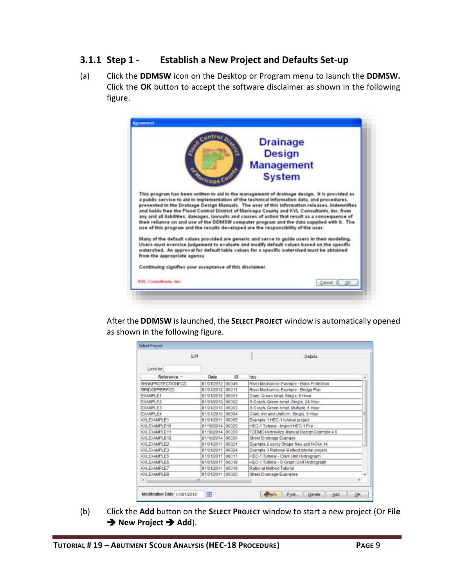# <span id="page-10-0"></span>**3.1.1 Step 1 - Establish a New Project and Defaults Set-up**

(a) Click the **DDMSW** icon on the Desktop or Program menu to launch the **DDMSW.** Click the **OK** button to accept the software disclaimer as shown in the following figure.

|                                                                                         | contror <sub>o</sub><br><b>Drainage</b>                                                                                                                                                                                                                                                                                                                                                                                                                                                                                                                                                                                                                                           |
|-----------------------------------------------------------------------------------------|-----------------------------------------------------------------------------------------------------------------------------------------------------------------------------------------------------------------------------------------------------------------------------------------------------------------------------------------------------------------------------------------------------------------------------------------------------------------------------------------------------------------------------------------------------------------------------------------------------------------------------------------------------------------------------------|
| <b>CONTRACTOR</b>                                                                       | <b>Design</b>                                                                                                                                                                                                                                                                                                                                                                                                                                                                                                                                                                                                                                                                     |
|                                                                                         | <b>Management</b>                                                                                                                                                                                                                                                                                                                                                                                                                                                                                                                                                                                                                                                                 |
| oza <sub>nicopa</sub> c                                                                 | <b>System</b>                                                                                                                                                                                                                                                                                                                                                                                                                                                                                                                                                                                                                                                                     |
|                                                                                         | This program has been written to aid in the management of drainage design. It is provided as<br>a public service to aid in implementation of the technical information data, and procedures.<br>presented in the Drainage Design Manuals. The user of this information releases, indemnifies<br>and holds free the Flood Control District of Maricopa County and KVL Consultants, Inc. from<br>any and all liabilities, damages, lawsuits and causes of action that result as a consequence of<br>their reliance on and use of the DDMSW computer program and the data supplied with it. The<br>use of this program and the results developed are the responsibility of the user. |
|                                                                                         |                                                                                                                                                                                                                                                                                                                                                                                                                                                                                                                                                                                                                                                                                   |
|                                                                                         | Many of the default values provided are generic and serve to guide users in their modeling.<br>Users must exercise judgement to evaluate and modify default values based on the specific<br>watershed. An approval for default table values for a specific watershed must be obtained                                                                                                                                                                                                                                                                                                                                                                                             |
| from the appropriate agency<br>Continuing signifies your acceptance of this disclaimer. |                                                                                                                                                                                                                                                                                                                                                                                                                                                                                                                                                                                                                                                                                   |

After the **DDMSW** is launched, the **SELECT PROJECT** window is automatically opened as shown in the following figure.

|                      | List             |        | Details                                    |
|----------------------|------------------|--------|--------------------------------------------|
| Lookfor              |                  |        |                                            |
| Reference -          | Date             | 10     | Title                                      |
| BANKPROTECTIONFCD    | 01/01/2012 00049 |        | River Mechanics Example - Bank Profection  |
| <b>BRIDGEPIERFCD</b> | 01/01/2012       | 00011  | River Mechanics Example - Bridge Pier      |
| EXAMPLE1             | 01/01/2010       | 00001  | Clark, Green Ampt, Single, 6 Hour.         |
| EXAMPLE2             | 01/01/2010       | 100002 | S-Graph, Green-Ampt. Single, 24 Hour       |
| <b>EXAMPLE3</b>      | 01/01/2010       | 00003  | S-Graph, Green-Ampt, Multiple, 6 Hour      |
| <b>FXAMPLE4</b>      | 01/01/2010       | 00004  | Clark, Init and Uniform, Single, 6 Hour    |
| KVLEXAMPLE1          | 01/01/2011 00005 |        | Example 1 HEC-1 tutorial project           |
| KVLEXAMPLE10         | 01/10/2014       | 00025  | HEC-1 Tutorial - Import HEC-1 File         |
| KVLEXAMPLE11         | 01/10/2014 00029 |        | FCDMC Hydraulics Manual Design Example 4.6 |
| KVLEXAMPLE12         | 01/10/2014 00030 |        | Street Drainage Example                    |
| KVI FXAMPLE2         | 01/01/2011 00021 |        | Example 2 using Shape files and NOAA 14    |
| KVLEXAMPLE3          | 01/01/2011 00024 |        | Example 3 Rational Method tutorial project |
| KVLEXAMPLE5          | 01/01/2011 00017 |        | HEC-1 Tutorial - Clark Unit Hydrograph     |
| <b>KVLEXAMPLE6</b>   | 01/01/2011 00018 |        | HEC-1 Tutorial - S-Graph Unit Hydrograph   |
| KVLEXAMPLE7          | 01/01/2011 00019 |        | Rational Method Tutorial                   |
| KVLEXAMPLER          | 01/01/2011 00020 |        | Street Drainage Examples                   |
| $\mathbf{z}$         | art.             |        | THE REPORT OF PERSON NAMED IN COLUMN<br>٠  |

(b) Click the **Add** button on the **SELECT PROJECT** window to start a new project (Or **File → New Project → Add**).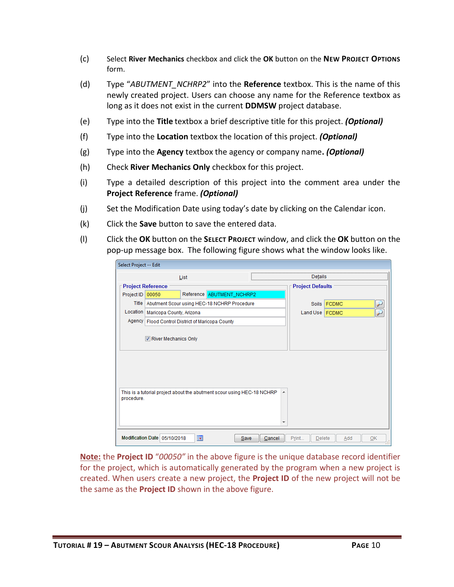- (c) Select **River Mechanics** checkbox and click the **OK** button on the **NEW PROJECT OPTIONS**  form.
- (d) Type "*ABUTMENT\_NCHRP2*" into the **Reference** textbox. This is the name of this newly created project. Users can choose any name for the Reference textbox as long as it does not exist in the current **DDMSW** project database.
- (e) Type into the **Title** textbox a brief descriptive title for this project. *(Optional)*
- (f) Type into the **Location** textbox the location of this project. *(Optional)*
- (g) Type into the **Agency** textbox the agency or company name**.** *(Optional)*
- (h) Check **River Mechanics Only** checkbox for this project.
- (i) Type a detailed description of this project into the comment area under the **Project Reference** frame. *(Optional)*
- (j) Set the Modification Date using today's date by clicking on the Calendar icon.
- (k) Click the **Save** button to save the entered data.
- (l) Click the **OK** button on the **SELECT PROJECT** window, and click the **OK** button on the pop-up message box. The following figure shows what the window looks like.

| Select Project -- Edit |                                                                        |      |                           |      |        |                         |             |     |    |
|------------------------|------------------------------------------------------------------------|------|---------------------------|------|--------|-------------------------|-------------|-----|----|
|                        |                                                                        | List |                           |      |        | Details                 |             |     |    |
|                        | <b>Project Reference</b>                                               |      |                           |      |        | <b>Project Defaults</b> |             |     |    |
| Project ID             | 00050                                                                  |      | Reference ABUTMENT_NCHRP2 |      |        |                         |             |     |    |
|                        | Title Abutment Scour using HEC-18 NCHRP Procedure                      |      |                           |      |        |                         | Soils FCDMC |     |    |
|                        | Location   Maricopa County, Arizona                                    |      |                           |      |        | Land Use FCDMC          |             |     |    |
|                        | Agency   Flood Control District of Maricopa County                     |      |                           |      |        |                         |             |     |    |
|                        | River Mechanics Only                                                   |      |                           |      |        |                         |             |     |    |
| procedure.             | This is a tutorial project about the abutment scour using HEC-18 NCHRP |      |                           |      |        |                         |             |     |    |
|                        | Modification Date 05/10/2018                                           | ia.  |                           | Save | Cancel | Print<br>Delete         |             | Add | OK |

**Note:** the **Project ID** "*00050"* in the above figure is the unique database record identifier for the project, which is automatically generated by the program when a new project is created. When users create a new project, the **Project ID** of the new project will not be the same as the **Project ID** shown in the above figure.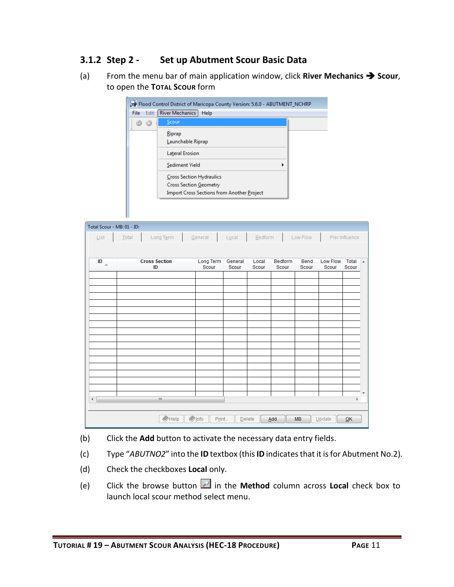# <span id="page-12-0"></span>**3.1.2 Step 2 - Set up Abutment Scour Basic Data**

(a) From the menu bar of main application window, click **River Mechanics**  $\rightarrow$  **Scour**, to open the **TOTAL SCOUR** form

|      | Flood Control District of Maricopa County Version: 5.6.0 - ABUTMENT_NCHRP                                             |  |
|------|-----------------------------------------------------------------------------------------------------------------------|--|
| File | Edit   River Mechanics<br>Help                                                                                        |  |
|      | Scour                                                                                                                 |  |
|      | Riprap<br>Launchable Riprap                                                                                           |  |
|      | <b>Lateral Erosion</b>                                                                                                |  |
|      | Sediment Yield<br>٠                                                                                                   |  |
|      | <b>Cross Section Hydraulics</b><br><b>Cross Section Geometry</b><br><b>Import Cross Sections from Another Project</b> |  |

|                             | Total Scour - MB: 01 - ID: |                      |                         |         |            |         |           |          |                |
|-----------------------------|----------------------------|----------------------|-------------------------|---------|------------|---------|-----------|----------|----------------|
| $\underline{\mathsf{List}}$ | Total                      | Long Term            | General                 | Local   | $B$ edform |         | Low Flow  |          | Pier Influence |
|                             |                            |                      |                         |         |            |         |           |          |                |
| ID<br>$\Delta$              |                            | <b>Cross Section</b> | Long Term               | General | Local      | Bedform | Bend      | Low Flow | Total          |
|                             |                            | ID                   | Scour                   | Scour   | Scour      | Scour   | Scour     | Scour    | Scour          |
|                             |                            |                      |                         |         |            |         |           |          |                |
|                             |                            |                      |                         |         |            |         |           |          |                |
|                             |                            |                      |                         |         |            |         |           |          |                |
|                             |                            |                      |                         |         |            |         |           |          |                |
|                             |                            |                      |                         |         |            |         |           |          |                |
|                             |                            |                      |                         |         |            |         |           |          |                |
|                             |                            |                      |                         |         |            |         |           |          |                |
|                             |                            |                      |                         |         |            |         |           |          |                |
|                             |                            |                      |                         |         |            |         |           |          |                |
|                             |                            |                      |                         |         |            |         |           |          |                |
|                             |                            |                      |                         |         |            |         |           |          |                |
|                             |                            |                      |                         |         |            |         |           |          |                |
|                             |                            |                      |                         |         |            |         |           |          |                |
|                             |                            |                      |                         |         |            |         |           |          |                |
|                             |                            | $\mathbb{H}$         |                         |         |            |         |           |          | k              |
|                             |                            |                      |                         |         |            |         |           |          |                |
|                             |                            | $\bigcirc$ Help      | $\bullet$ Info<br>Print | Delete  |            | Add     | <b>MB</b> | Update   | QK             |

- (b) Click the **Add** button to activate the necessary data entry fields.
- (c) Type "*ABUTNO2*" into the **ID** textbox (this **ID** indicates that it is for Abutment No.2).
- (d) Check the checkboxes **Local** only.
- (e) Click the browse button in the **Method** column across **Local** check box to launch local scour method select menu.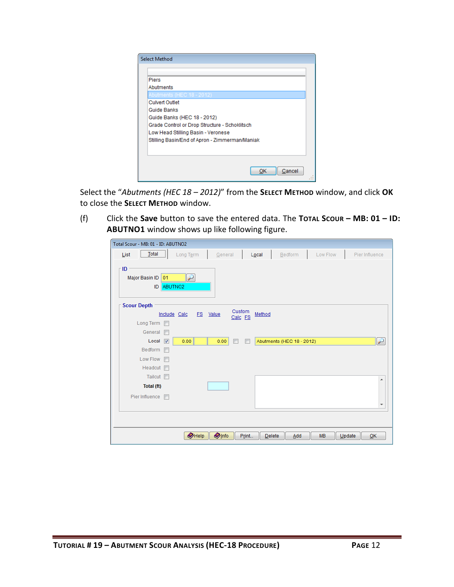| <b>Select Method</b>                           |
|------------------------------------------------|
|                                                |
| <b>Piers</b>                                   |
| Abutments                                      |
| Abutments (HEC 18 - 2012)                      |
| <b>Culvert Outlet</b>                          |
| Guide Banks                                    |
| Guide Banks (HEC 18 - 2012)                    |
| Grade Control or Drop Structure - Schoklitsch  |
| Low Head Stilling Basin - Veronese             |
| Stilling Basin/End of Apron - Zimmerman/Maniak |
|                                                |
|                                                |
|                                                |
| Cancel<br>ок                                   |
|                                                |

Select the "*Abutments (HEC 18 – 2012)*" from the **SELECT METHOD** window, and click **OK** to close the **SELECT METHOD** window.

(f) Click the **Save** button to save the entered data. The **TOTAL SCOUR – MB: 01 – ID: ABUTNO1** window shows up like following figure.

| Total Scour - MB: 01 - ID: ABUTNO2                |                        |                           |                     |                          |
|---------------------------------------------------|------------------------|---------------------------|---------------------|--------------------------|
| $Total$<br>List<br>Long Term                      | General                | Bedform<br>Local          | Low Flow            | Pier Influence           |
| - ID<br>Major Basin ID 01<br>لىز<br>ABUTNO2<br>ID |                        |                           |                     |                          |
| <b>Scour Depth</b>                                | Custom                 |                           |                     |                          |
| Include Calc                                      | FS Value<br>Calc FS    | Method                    |                     |                          |
| Long Term                                         |                        |                           |                     |                          |
| General<br>$\overline{\mathbb{R}^n}$              |                        |                           |                     |                          |
| Local<br>$\overline{\mathbf{v}}$<br>0.00          | 0.00                   | Abutments (HEC 18 - 2012) |                     | $\overline{r}$           |
| Bedform                                           |                        |                           |                     |                          |
| Low Flow <b>FI</b>                                |                        |                           |                     |                          |
| Headcut <b>n</b>                                  |                        |                           |                     |                          |
| Tailcut $\Box$                                    |                        |                           |                     | ▲                        |
| Total (ft)                                        |                        |                           |                     |                          |
| Pier Influence<br>$\overline{\phantom{a}}$        |                        |                           |                     |                          |
|                                                   |                        |                           |                     | $\overline{\phantom{a}}$ |
|                                                   |                        |                           |                     |                          |
|                                                   |                        |                           |                     |                          |
| $\bullet$ Help                                    | <b>O</b> Info<br>Print | Delete<br>Add             | <b>MB</b><br>Update | QK                       |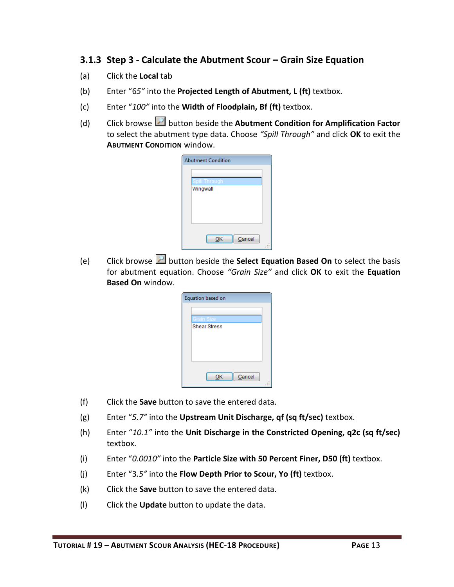# <span id="page-14-0"></span>**3.1.3 Step 3 - Calculate the Abutment Scour – Grain Size Equation**

- (a) Click the **Local** tab
- (b) Enter "6*5"* into the **Projected Length of Abutment, L (ft)** textbox.
- (c) Enter "*100"* into the **Width of Floodplain, Bf (ft)** textbox.
- (d) Click browse button beside the **Abutment Condition for Amplification Factor** to select the abutment type data. Choose *"Spill Through"* and click **OK** to exit the **ABUTMENT CONDITION** window.

| <b>Abutment Condition</b> |  |
|---------------------------|--|
|                           |  |
| Spill Through             |  |
| Wingwall                  |  |
|                           |  |
|                           |  |
|                           |  |
|                           |  |
|                           |  |
| Cancel<br>ОK              |  |
|                           |  |

(e) Click browse button beside the **Select Equation Based On** to select the basis for abutment equation. Choose *"Grain Size"* and click **OK** to exit the **Equation Based On** window.

| Equation based on   |  |
|---------------------|--|
| Grain Size          |  |
| <b>Shear Stress</b> |  |
|                     |  |
|                     |  |
|                     |  |
| Cancel              |  |

- (f) Click the **Save** button to save the entered data.
- (g) Enter "*5.7"* into the **Upstream Unit Discharge, qf (sq ft/sec)** textbox.
- (h) Enter "*10.1"* into the **Unit Discharge in the Constricted Opening, q2c (sq ft/sec)** textbox.
- (i) Enter "*0.0010"* into the **Particle Size with 50 Percent Finer, D50 (ft)** textbox.
- (j) Enter "3*.5"* into the **Flow Depth Prior to Scour, Yo (ft)** textbox.
- (k) Click the **Save** button to save the entered data.
- (l) Click the **Update** button to update the data.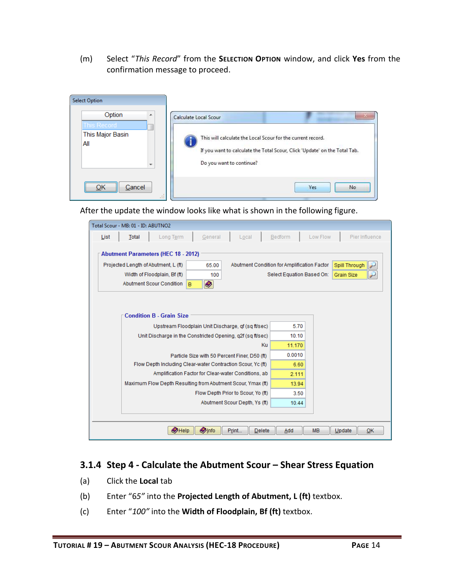(m) Select "*This Record*" from the **SELECTION OPTION** window, and click **Yes** from the confirmation message to proceed.

| <b>Select Option</b>                                        |                                                                                                                                                                                                |
|-------------------------------------------------------------|------------------------------------------------------------------------------------------------------------------------------------------------------------------------------------------------|
| Option<br>A.<br>This Record<br>This Major Basin<br>All<br>٠ | Calculate Local Scour<br>This will calculate the Local Scour for the current record.<br>If you want to calculate the Total Scour, Click 'Update' on the Total Tab.<br>Do you want to continue? |
| <br>Cancel<br><br>43                                        | Yes<br>No.                                                                                                                                                                                     |

After the update the window looks like what is shown in the following figure.

| Total Scour - MB: 01 - ID: ABUTNO2                                                          |                                                                     |
|---------------------------------------------------------------------------------------------|---------------------------------------------------------------------|
| General<br>Total<br>Long Term<br>List                                                       | Bedform<br>Low Flow<br>Pier Influence<br>Local                      |
| <b>Abutment Parameters (HEC 18 - 2012)</b><br>Projected Length of Abutment, L (ft)<br>65.00 | Abutment Condition for Amplification Factor<br><b>Spill Through</b> |
| Width of Floodplain, Bf (ft)<br>100                                                         | Select Equation Based On:<br><b>Grain Size</b>                      |
| $\bullet$<br><b>Abutment Scour Condition</b><br>B                                           |                                                                     |
| <b>Condition B - Grain Size</b><br>Upstream Floodplain Unit Discharge, qf (sq ft/sec)       | 5.70                                                                |
| Unit Discharge in the Constricted Opening, g2f (sg ft/sec)                                  | 10.10                                                               |
|                                                                                             | Ku<br>11.170                                                        |
| Particle Size with 50 Percent Finer, D50 (ft)                                               | 0.0010                                                              |
| Flow Depth Including Clear-water Contraction Scour, Yc (ft)                                 | 6.60                                                                |
| Amplification Factor for Clear-water Conditions, ab                                         | 2.111                                                               |
| Maximum Flow Depth Resulting from Abutment Scour, Ymax (ft)                                 | 13.94                                                               |
| Flow Depth Prior to Scour, Yo (ft)                                                          | 3.50                                                                |
| Abutment Scour Depth, Ys (ft)                                                               | 10.44                                                               |
|                                                                                             |                                                                     |
| <b>Olnfo</b><br>$\bigcirc$ Help<br>Print                                                    | <b>Delete</b><br><b>MB</b><br>Update<br>Add<br>OK                   |

### <span id="page-15-0"></span>**3.1.4 Step 4 - Calculate the Abutment Scour – Shear Stress Equation**

- (a) Click the **Local** tab
- (b) Enter "6*5"* into the **Projected Length of Abutment, L (ft)** textbox.
- (c) Enter "*100"* into the **Width of Floodplain, Bf (ft)** textbox.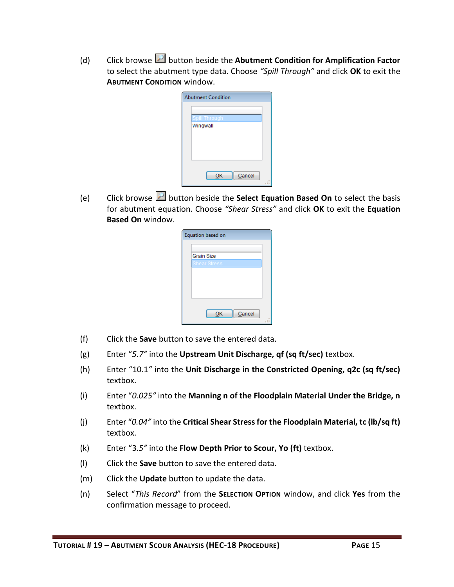(d) Click browse button beside the **Abutment Condition for Amplification Factor** to select the abutment type data. Choose *"Spill Through"* and click **OK** to exit the **ABUTMENT CONDITION** window.

| <b>Abutment Condition</b> |              |  |
|---------------------------|--------------|--|
| Spill Through             |              |  |
| Wingwall                  |              |  |
|                           |              |  |
|                           |              |  |
|                           |              |  |
|                           | Cancel<br>OK |  |

(e) Click browse button beside the **Select Equation Based On** to select the basis for abutment equation. Choose *"Shear Stress"* and click **OK** to exit the **Equation Based On** window.

| Equation based on   |  |
|---------------------|--|
|                     |  |
| <b>Grain Size</b>   |  |
| <b>Shear Stress</b> |  |
|                     |  |
|                     |  |
|                     |  |
|                     |  |
|                     |  |
| Cancel<br>OK        |  |
|                     |  |

- (f) Click the **Save** button to save the entered data.
- (g) Enter "*5.7"* into the **Upstream Unit Discharge, qf (sq ft/sec)** textbox.
- (h) Enter "10.1*"* into the **Unit Discharge in the Constricted Opening, q2c (sq ft/sec)** textbox.
- (i) Enter "*0.025"* into the **Manning n of the Floodplain Material Under the Bridge, n** textbox.
- (j) Enter "*0.04"* into the **Critical Shear Stress for the Floodplain Material, tc (lb/sq ft)** textbox.
- (k) Enter "3*.5"* into the **Flow Depth Prior to Scour, Yo (ft)** textbox.
- (l) Click the **Save** button to save the entered data.
- (m) Click the **Update** button to update the data.
- (n) Select "*This Record*" from the **SELECTION OPTION** window, and click **Yes** from the confirmation message to proceed.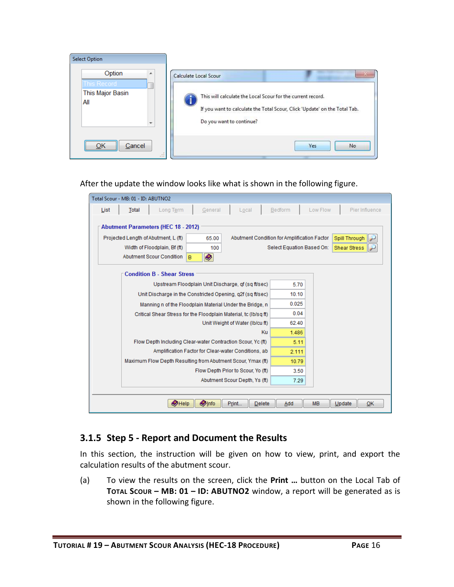

#### After the update the window looks like what is shown in the following figure.

| Total Scour - MB: 01 - ID: ABUTNO2         |                                                                  |         |                                             |         |       |                           |                     |                |
|--------------------------------------------|------------------------------------------------------------------|---------|---------------------------------------------|---------|-------|---------------------------|---------------------|----------------|
| Total<br>List                              | Long Term                                                        | General | Local                                       | Bedform |       | Low Flow                  |                     | Pier Influence |
| <b>Abutment Parameters (HEC 18 - 2012)</b> |                                                                  |         |                                             |         |       |                           |                     |                |
| Projected Length of Abutment, L (ft)       |                                                                  | 65.00   | Abutment Condition for Amplification Factor |         |       |                           | Spill Through       |                |
| Width of Floodplain, Bf (ft)               |                                                                  | 100     |                                             |         |       | Select Equation Based On: | <b>Shear Stress</b> |                |
| Abutment Scour Condition                   | $\bullet$<br>B                                                   |         |                                             |         |       |                           |                     |                |
|                                            | <b>Condition B - Shear Stress</b>                                |         |                                             |         |       |                           |                     |                |
|                                            | Upstream Floodplain Unit Discharge, of (sq ft/sec)               |         |                                             |         | 5.70  |                           |                     |                |
|                                            | Unit Discharge in the Constricted Opening, g2f (sg ft/sec)       |         |                                             |         | 10.10 |                           |                     |                |
|                                            | Manning n of the Floodplain Material Under the Bridge, n         |         |                                             |         | 0.025 |                           |                     |                |
|                                            | Critical Shear Stress for the Floodplain Material, tc (Ib/sq ft) |         |                                             |         | 0.04  |                           |                     |                |
|                                            |                                                                  |         | Unit Weight of Water (Ib/cu ft)             |         | 62.40 |                           |                     |                |
|                                            |                                                                  |         |                                             | Ku      | 1.486 |                           |                     |                |
|                                            | Flow Depth Including Clear-water Contraction Scour, Yc (ft)      |         |                                             |         | 5.11  |                           |                     |                |
|                                            | Amplification Factor for Clear-water Conditions, ab              |         |                                             |         | 2.111 |                           |                     |                |
|                                            | Maximum Flow Depth Resulting from Abutment Scour, Ymax (ft)      |         |                                             |         | 10.79 |                           |                     |                |
|                                            |                                                                  |         | Flow Depth Prior to Scour, Yo (ft)          |         | 3.50  |                           |                     |                |
|                                            |                                                                  |         | Abutment Scour Depth, Ys (ft)               |         | 7.29  |                           |                     |                |
|                                            |                                                                  |         |                                             |         |       |                           |                     |                |
|                                            | <b>Olnfo</b><br>$\bigcirc$ Help                                  | Print   | <b>Delete</b>                               |         | Add   | <b>MB</b>                 | Update              | OK             |

#### <span id="page-17-0"></span>**3.1.5 Step 5 - Report and Document the Results**

In this section, the instruction will be given on how to view, print, and export the calculation results of the abutment scour.

(a) To view the results on the screen, click the **Print …** button on the Local Tab of **TOTAL SCOUR – MB: 01 – ID: ABUTNO2** window, a report will be generated as is shown in the following figure.